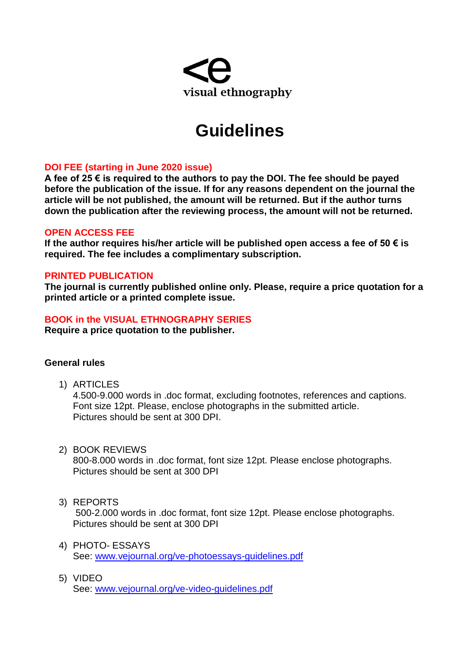

# **Guidelines**

## **DOI FEE (starting in June 2020 issue)**

**A fee of 25 € is required to the authors to pay the DOI. The fee should be payed before the publication of the issue. If for any reasons dependent on the journal the article will be not published, the amount will be returned. But if the author turns down the publication after the reviewing process, the amount will not be returned.**

## **OPEN ACCESS FEE**

**If the author requires his/her article will be published open access a fee of 50 € is required. The fee includes a complimentary subscription.**

## **PRINTED PUBLICATION**

**The journal is currently published online only. Please, require a price quotation for a printed article or a printed complete issue.**

## **BOOK in the VISUAL ETHNOGRAPHY SERIES**

**Require a price quotation to the publisher.**

## **General rules**

1) ARTICLES

4.500-9.000 words in .doc format, excluding footnotes, references and captions. Font size 12pt. Please, enclose photographs in the submitted article. Pictures should be sent at 300 DPI.

2) BOOK REVIEWS

800-8.000 words in .doc format, font size 12pt. Please enclose photographs. Pictures should be sent at 300 DPI

3) REPORTS

500-2.000 words in .doc format, font size 12pt. Please enclose photographs. Pictures should be sent at 300 DPI

- 4) PHOTO- ESSAYS See: [www.vejournal.org/ve-photoessays-guidelines.pdf](http://www.vejournal.org/ve-photoessays-guidelines.pdf)
- 5) VIDEO See: [www.vejournal.org/ve-video-guidelines.pdf](http://www.vejournal.org/ve-video-guidelines.pdf)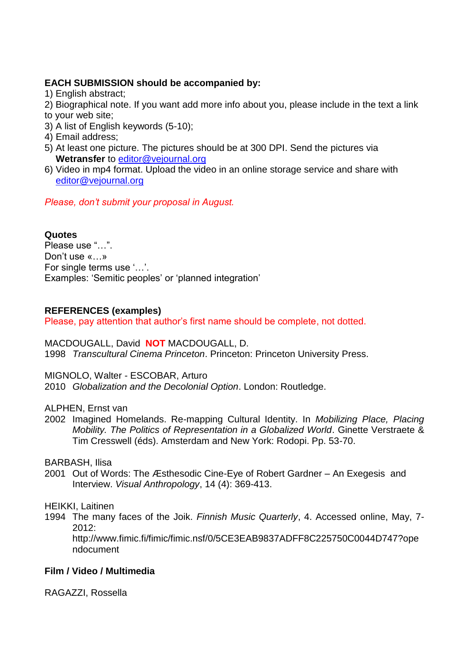# **EACH SUBMISSION should be accompanied by:**

1) English abstract;

2) Biographical note. If you want add more info about you, please include in the text a link to your web site;

- 3) A list of English keywords (5-10);
- 4) Email address;
- 5) At least one picture. The pictures should be at 300 DPI. Send the pictures via **Wetransfer** to [editor@vejournal.org](mailto:editor@vejournal.org)
- 6) Video in mp4 format. Upload the video in an online storage service and share with [editor@vejournal.org](mailto:editor@vejournal.org)

*Please, don't submit your proposal in August.*

# **Quotes**

Please use "…". Don't use «…» For single terms use '…'. Examples: 'Semitic peoples' or 'planned integration'

# **REFERENCES (examples)**

Please, pay attention that author's first name should be complete, not dotted.

# MACDOUGALL, David **NOT** MACDOUGALL, D.

1998 *Transcultural Cinema Princeton*. Princeton: Princeton University Press.

MIGNOLO, Walter - ESCOBAR, Arturo

2010 *Globalization and the Decolonial Option*. London: Routledge.

# ALPHEN, Ernst van

2002 Imagined Homelands. Re-mapping Cultural Identity. In *Mobilizing Place, Placing Mobility. The Politics of Representation in a Globalized World*. Ginette Verstraete & Tim Cresswell (éds). Amsterdam and New York: Rodopi. Pp. 53-70.

BARBASH, Ilisa

2001 Out of Words: The Æsthesodic Cine-Eye of Robert Gardner – An Exegesis and Interview. *Visual Anthropology*, 14 (4): 369-413.

# HEIKKI, Laitinen

1994 The many faces of the Joik. *Finnish Music Quarterly*, 4. Accessed online, May, 7- 2012:

http://www.fimic.fi/fimic/fimic.nsf/0/5CE3EAB9837ADFF8C225750C0044D747?ope ndocument

# **Film / Video / Multimedia**

RAGAZZI, Rossella